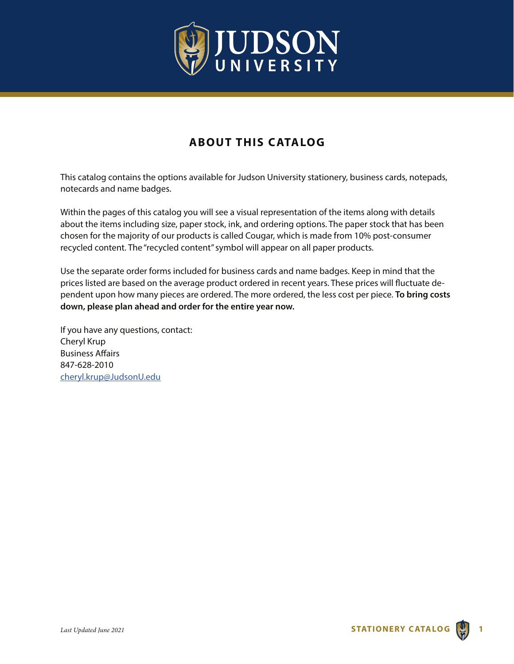

# **ABOUT THIS CATALOG**

This catalog contains the options available for Judson University stationery, business cards, notepads, notecards and name badges.

Within the pages of this catalog you will see a visual representation of the items along with details about the items including size, paper stock, ink, and ordering options. The paper stock that has been chosen for the majority of our products is called Cougar, which is made from 10% post-consumer recycled content. The "recycled content" symbol will appear on all paper products.

Use the separate order forms included for business cards and name badges. Keep in mind that the prices listed are based on the average product ordered in recent years. These prices will fluctuate dependent upon how many pieces are ordered. The more ordered, the less cost per piece. **To bring costs down, please plan ahead and order for the entire year now.** 

If you have any questions, contact: Cheryl Krup Business Affairs 847-628-2010 cheryl.krup@JudsonU.edu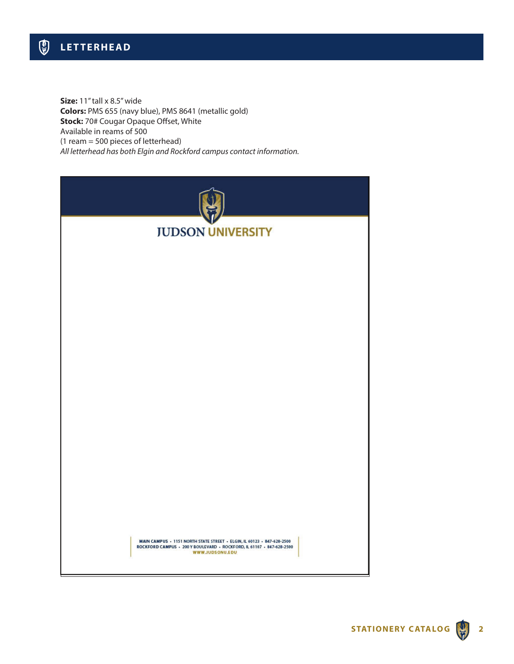**Size:** 11" tall x 8.5" wide **Colors:** PMS 655 (navy blue), PMS 8641 (metallic gold) **Stock:** 70# Cougar Opaque Offset, White Available in reams of 500 (1 ream = 500 pieces of letterhead) *All letterhead has both Elgin and Rockford campus contact information.*

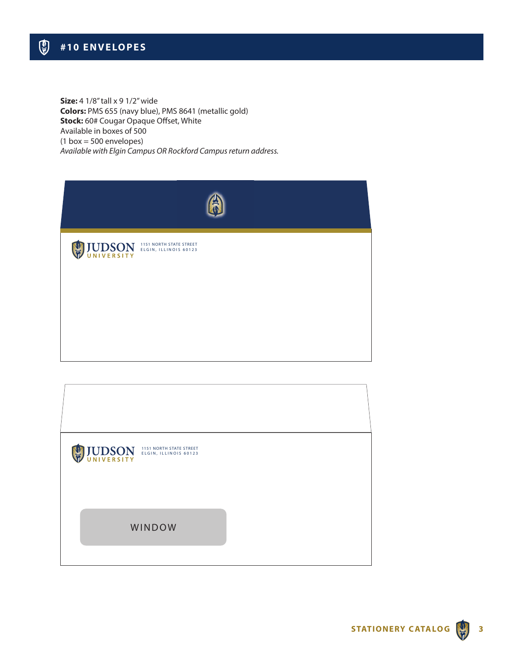**Size:** 4 1/8" tall x 9 1/2" wide **Colors:** PMS 655 (navy blue), PMS 8641 (metallic gold) **Stock:** 60# Cougar Opaque Offset, White Available in boxes of 500  $(1 box = 500$  envelopes) *Available with Elgin Campus OR Rockford Campus return address.*

| <b>UDSON</b> ELGIN, ILLINOIS 60123 |  |
|------------------------------------|--|
|                                    |  |
|                                    |  |

| <b>UDSON ELGIN, ILLINOIS 60123</b> |  |
|------------------------------------|--|
| WINDOW                             |  |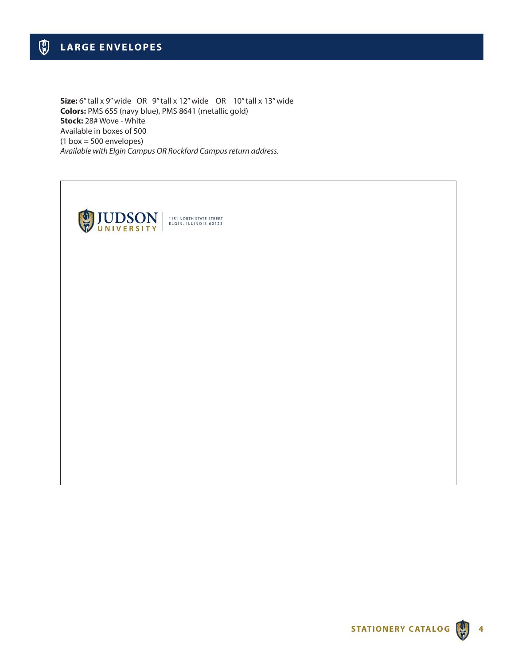**Size:** 6" tall x 9" wide OR 9" tall x 12" wide OR 10" tall x 13" wide **Colors:** PMS 655 (navy blue), PMS 8641 (metallic gold) **Stock:** 28# Wove - White Available in boxes of 500  $(1 box = 500$  envelopes) *Available with Elgin Campus OR Rockford Campus return address.*

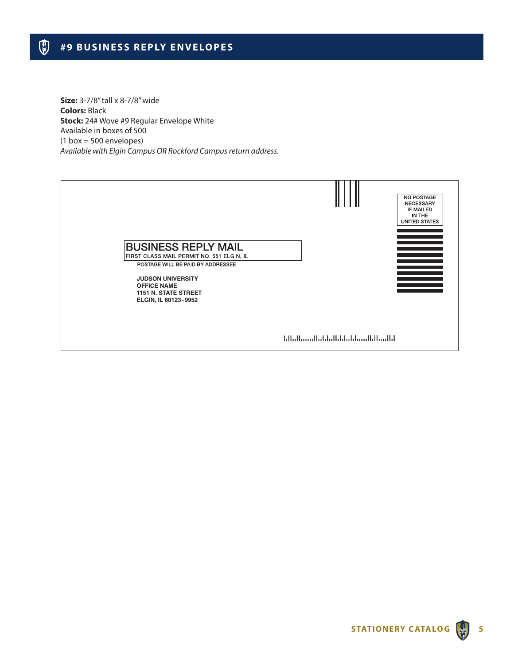**Size:** 3-7/8" tall x 8-7/8" wide **Colors:** Black **Stock:** 24# Wove #9 Regular Envelope White Available in boxes of 500  $(1 box = 500$  envelopes) *Available with Elgin Campus OR Rockford Campus return address.*

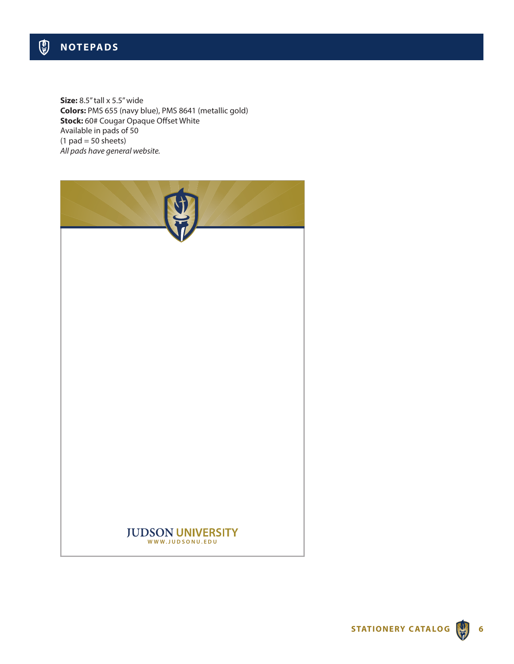**Size:** 8.5" tall x 5.5" wide **Colors:** PMS 655 (navy blue), PMS 8641 (metallic gold) **Stock:** 60# Cougar Opaque Offset White Available in pads of 50  $(1$  pad = 50 sheets) *All pads have general website.*

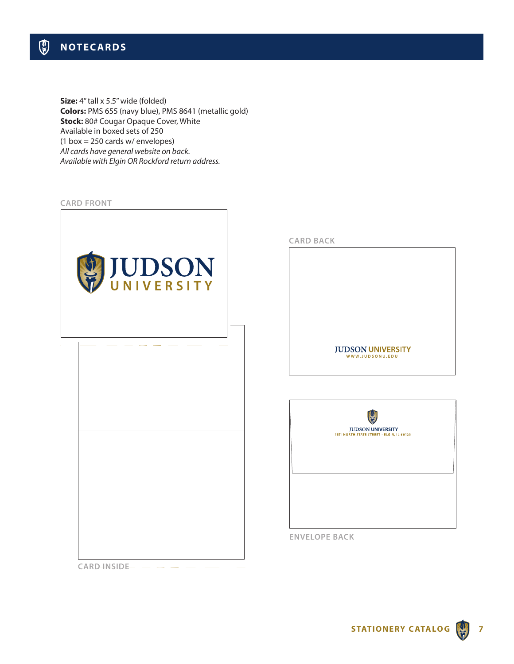**Size:** 4" tall x 5.5" wide (folded) **Colors:** PMS 655 (navy blue), PMS 8641 (metallic gold) **Stock: 80# Cougar Opaque Cover, White** Available in boxed sets of 250 (1 box = 250 cards w/ envelopes) *All cards have general website on back. Available with Elgin OR Rockford return address.*



**CARD INSIDE**

**CARD BACK**

**JUDSON UNIVERSITY WWW.JUDSONU.EDU**



**ENVELOPE BACK**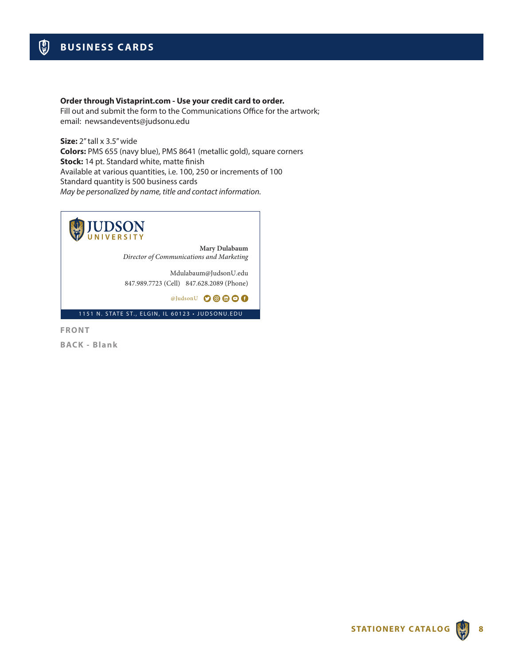### **Order through Vistaprint.com - Use your credit card to order.**

Fill out and submit the form to the Communications Office for the artwork; email: newsandevents@judsonu.edu

**Size:** 2" tall x 3.5" wide **Colors:** PMS 655 (navy blue), PMS 8641 (metallic gold), square corners **Stock:** 14 pt. Standard white, matte finish Available at various quantities, i.e. 100, 250 or increments of 100 Standard quantity is 500 business cards *May be personalized by name, title and contact information.*



**Mary Dulabaum** *Director of Communications and Marketing*

Mdulabaum@JudsonU.edu 847.989.7723 (Cell) 847.628.2089 (Phone)

@JudsonU

1151 N. STATE ST., ELGIN, IL 60123 • JUDSONU.EDU

**FRONT BACK - Blank**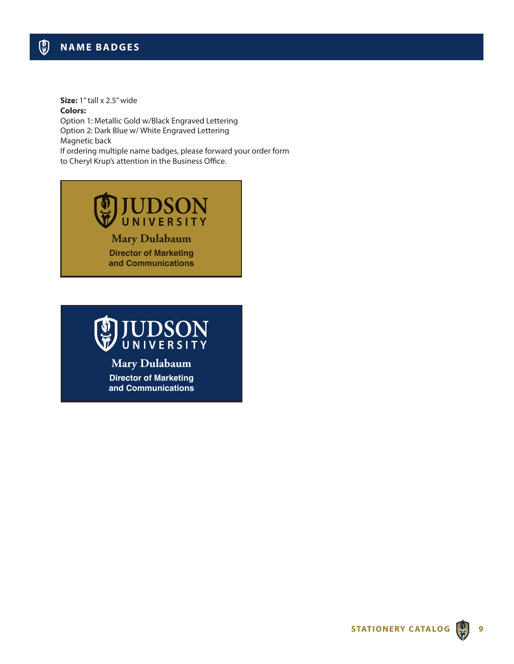**Size:** 1" tall x 2.5" wide **Colors:** 

Option 1: Metallic Gold w/Black Engraved Lettering Option 2: Dark Blue w/ White Engraved Lettering Magnetic back If ordering multiple name badges, please forward your order form to Cheryl Krup's attention in the Business Office.





**Mary Dulabaum Director of Marketing and Communications**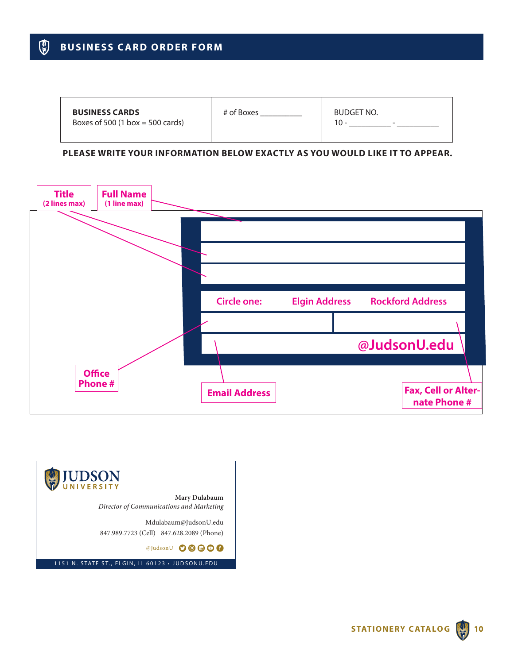#### $\mathbb{Q}$ **BUSINESS CARD ORDER FORM**

| <b>BUSINESS CARDS</b><br>Boxes of 500 $(1 \text{ box} = 500 \text{ cards})$ | # of Boxes | BUDGET NO.<br>$10 -$<br>$\overline{\phantom{a}}$ |
|-----------------------------------------------------------------------------|------------|--------------------------------------------------|
|                                                                             |            |                                                  |

## **PLEASE WRITE YOUR INFORMATION BELOW EXACTLY AS YOU WOULD LIKE IT TO APPEAR.**